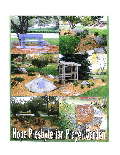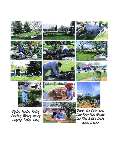



















Digging Planting Hauling Stretching Working Moving Laughing Talking Living





Duane Alisa Carter Isaac Daryl Kathy Marv Glenyce Don Hilda Andrew Jonelle Harold Kristene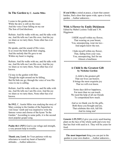# **In The Garden by C. Austin Miles**

I come to the garden alone While the dew is still on the roses And the voice I hear falling on my ear The Son of God discloses.

Refrain: And He walks with me, and He talks with me, And He tells me I am His own; And the joy we share as we tarry there, None other has ever known.

He speaks, and the sound of His voice, Is so sweet the birds hush their singing, And the melody that He gave to me Within my heart is ringing.

Refrain: And He walks with me, and He talks with me, And He tells me I am His own; And the joy we share as we tarry there, None other has ever known.

I'd stay in the garden with Him Though the night around me be falling, But He bids me go; through the voice of woe His voice to me is calling.

Refrain: And He walks with me, and He talks with me, And He tells me I am His own; And the joy we share as we tarry there, None other has ever known. \*\*\*\*\*\*\*\*\*\*\*\*\*\*\*\*\*\*\*\*\*\*\*\*\*\*\*\*\*\*\*\*\*\*\*\*\*\*\*\*

**In 1912**, C. Austin Miles was studying the story of Mary coming to the Garden of the Sepulcher to visit Jesus' tomb and was inspired to write the famous verses and chorus of the hymn "In the Garden." According to some polls, it is the second most popular gospel song.

\*\*\*\*\*\*\*\*\*\*\*\*\*\*\*\*\*\*\*\*\*\*\*\*\*\*\*\*\*\*\*\*\*\*\*\*\*\*\*\*

**Psalm 46:1 (NIV)** God is our refuge and strength, a very present help in trouble. \*\*\*\*\*\*\*\*\*\*\*\*\*\*\*\*\*\*\*\*\*\*\*\*\*\*\*\*\*\*\*\*\*\*\*\*\*\*\*\*

**Thank you, Lord**, for Your patience with my reluctance to weed my heart of harmful attitudes. ...Author unknown...

**If you'd like** a mind at peace, a heart that cannot harden, find a door that opens wide, upon a lovely garden. ...Author unknown... \*\*\*\*\*\*\*\*\*\*\*\*\*\*\*\*\*\*\*\*\*\*\*\*\*\*\*\*\*\*\*\*\*\*\*\*\*\*\*\*

#### **With A Flower by Emily Dickinson**

Edited by Mabel Loomis Todd and T.W. Higginson

> I HIDE myself within my flower, That wearing on your breast, You, unsuspecting, wear me too-- And angels know the rest.

I hide myself within my flower, That, fading from your vase, You, unsuspecting, feel for me Almost a loneliness \*\*\*\*\*\*\*\*\*\*\*\*\*\*\*\*\*\*\*\*\*\*\*\*\*\*\*\*\*\*\*\*\*\*\*\*\*\*\*\*

#### **A Child Is the Greatest Gift by Nicholas Gordon**

A child is the greatest gift That our lives can bestow. It brings the most exquisite joy That we will ever know.

Some days deliver happiness, Far more than we can touch. We need the help of all our friends To comprehend how much.

And so we thank you for the gifts, Both those you brought and are, That celebrate this rich, full life And its rising star! \*\*\*\*\*\*\*\*\*\*\*\*\*\*\*\*\*\*\*\*\*\*\*\*\*\*\*\*\*\*\*\*\*\*\*\*\*\*\*\*

**Genesis 1:29 (NIV)** I give you every seed-bearing plant on the face of the whole earth and every tree that has fruit with seed in it. They will be yours for food.

\*\*\*\*\*\*\*\*\*\*\*\*\*\*\*\*\*\*\*\*\*\*\*\*\*\*\*\*\*\*\*\*\*\*\*\*\*\*\*\*

**The most important** thing you can put in the garden is your own shadow. ...Author unknown... \*\*\*\*\*\*\*\*\*\*\*\*\*\*\*\*\*\*\*\*\*\*\*\*\*\*\*\*\*\*\*\*\*\*\*\*\*\*\*\*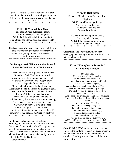Luke 12:27 (NIV) Consider how the lilies grow. They do not labor or spin. Yet I tell you, not even Solomon in all his splendor was dressed like one of these.

\*\*\*\*\*\*\*\*\*\*\*\*\*\*\*\*\*\*\*\*\*\*\*\*\*\*\*\*\*\*\*\*\*\*\*\*\*

THE LILY by William Blake

The modest Rose puts forth a thorn, The humble sheep a threat'ning horn: While the Lily white shall in love delight, Nor a thorn nor a threat stain her beauty bright. 

The fragrance of praise: Thank you, God, for the cold seasons that give repose to earthbound sleepers and grant gardeners time to reflect... Author unknown... \*\*\*\*\*\*\*\*\*\*\*\*\*\*\*\*\*\*\*\*\*\*\*\*\*\*\*\*\*\*\*\*\*\*\*

#### On being asked, Whence is the flower? Ralph Waldo Emerson - The Rhodora

In May, when sea-winds pierced our solitudes, I found the fresh Rhodora in the woods, Spreading its leafless blooms in a damp nook, To please the desert and the sluggish brook. The purple petals, fallen in the pool, Made the black water with their beauty gay; Here might the red-bird come his plumes to cool, And court the flower that cheapens his array. Rhodora! if the sages ask thee why This charm is wasted on the earth and sky, Tell them, dear, that if eyes were made for seeing, Then Beauty is its own excuse for being: Why thou wert there, O rival of the rose! I never thought to ask, I never knew: But, in my simple ignorance, suppose the selfsame Power that brought me there brought you. 

Gardeners realize the value of reshaping. retraining, and controlling the contours of a plant. Can we not then trust God when He clips away as us with divine secateurs? He intends only to enhance those whom He prunes. How much more will we flourish when we are sheared by the expert skills of the Master Gardener Author unknown

#### **By Emily Dickinson**

Edited by Mabel Loomis Todd and T.W. Higginson NEW feet within my garden go, New fingers stir the sod: A troubadour upon the elm Betrays the solitude.

New children play upon the green, New weary sleep below; And still the pensive spring returns, And still the punctual snow! \*\*\*\*\*\*\*\*\*\*\*\*\*\*\*\*\*\*\*\*\*\*\*\*\*\*\*\*\*\*\*\*\*\*\*\*\*

Corinthians 9:6 (NIV) Remember: sparse sowing, sparse reaping; sow bountifully, and you will reap bountifully. \*\*\*\*\*\*\*\*\*\*\*\*\*\*\*\*

## **From "Thoughts in Solitude"** by Thomas Morton

My Lord God, I have no idea where I am going. I do not see the road ahead of me. I cannot know for certain where it will end. Nor do I really know myself, and the fact that I think I am following Your will does not mean that I am actually doing so. But I believe that the desire to please You does in fact please you. And I hope I have that desire in all that I am doing. I hope that I will never do anything apart from that desire And I know that if I do this, You will leave me by the right road, though I may know nothing about it. Therefore, I will trust you always, although I may seem to be lost

and in the shadow of death. I will not fear, for You are ever with me, and You will never leave me to face my peril alone. 

**John 15:1-2 (NIV)** I am the true vine, and my Father is the gardener. He cuts off every branch in me that bears no fruit, while every branch that does bear fruit he prunes so that it will be even more fruitful.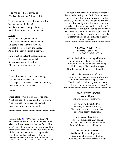## **Church in The Wildwood**

Words and music by William S. Pitts

There's a church in the valley by the wildwood, No lovelier spot in the dale; No place is so dear to my childhood, As the little brown church in the vale.

#### Chorus

(oh, come, come, come, come) Come to the church in the wildwood, Oh come to the church in the vale, No spot is so dear to my childhood, As the little brown church in the vale.

How sweet on a clear Sabbath morning, To list'n to the clear ringing bells; It's tones are so sweetly calling, Oh come to the church in the vale.

#### Chorus

There, close by the church in the valley, Lies one that I loved so well; She sleeps, sweetly sleeps, 'neath the willow, Disturb not her rest in the vale.

#### Chorus

There, close by the side of that loved one, 'Neath the tree where the wild flowers bloom, When farewell hymns shall be chanted, I shall rest by her side in the tomb.

\*\*\*\*\*\*\*\*\*\*\*\*\*\*\*\*\*\*\*\*\*\*\*\*\*\*\*\*\*\*\*\*\*\*\*\*\*\*\*\*

**Genesis 1:29-30 (NIV)** Then God said, "I give you every seed-bearing plant on the face of the whole earth and every tree that has fruit with seed in it. They will be yours for food. And to all the beasts of the earth and all the birds of the air and all the creatures that move on the groundeverything that has the breath of life in it-I give every green plant for food." And it was so. \*\*\*\*\*\*\*\*\*\*\*\*\*\*\*\*\*\*\*\*\*\*\*\*\*\*\*\*\*\*\*\*\*\*\*\*\*\*\*\*

**The root of the matter**: I find this principle so like my relationship with God. If I'm too busy to read His Word or to wait prayerfully in His presence, I may not realize I'm getting dry, or I've become diseased by a pestilent attitude, or am in need of extra water due to a fiery trail. God's always there for me, but if I don't place myself in His presence, I won't notice His signs, hear His voice, or respond to His instructions. I must be consistently related to God if I hope to grow. ...

Author unknown... \*\*\*\*\*\*\*\*\*\*\*\*\*\*\*\*\*\*\*\*\*\*\*\*\*\*\*\*\*\*\*\*\*\*\*\*\*\*\*

# **A SONG IN SPRING**

**Thomas S. Jones, Jr.** The Little Book Of Modern Verse

O Little buds all bourgeoning with Spring, You hold my winter in forgetfulness; Without my window lilac branches swing, Within my gat I hear a robin sing – O little laughing blooms that lift and bless!

So blow the breezes in a soft caress, Blowing my dreams upon a swallow's wings; O little merry buds in dappled dress, You fill my heart with very wantonness – O little buds all bourgeoning with Spring! \*\*\*\*\*\*\*\*\*\*\*\*\*\*\*\*\*\*\*\*\*\*\*\*\*\*\*\*\*\*\*\*\*\*\*\*\*\*\*\*

> **AGAMEDE'S SONG Arthur Upson** The Little Book Of Modern Verse

Grow, grow, thou little tree, His body at the roots of thee; Since last year's loveliness in death The living beauty nourisheth.

Bloom, bloom, thou little tree, Thy roots around the heart of me; Thou canst not blow too white and fair From all the sweetness hidden there.

Die, die, thou little tree, And be as all sweet things must be; Deep where thy petals drift I, too, Would rest the changing season through.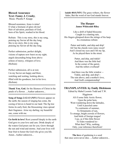#### **Blessed Assurance** Text: Fanny J. Crosby. Music: Phoebe P. Knapp

Blessed assurance, Jesus is mine! O what a foretaste of glory divine! Heir of salvation, purchase of God, born of his Spirit, washed in his blood.

Refrain: This is my story, this is my song, praising my Savior all the day long; this is my story, this is my song, praising my Savior all the day long.

Perfect submission, perfect delight, visions of rapture now burst on my sight; angels descending bring from above echoes of mercy, whispers of love. (Refrain)

Perfect submission, all is at rest; I in my Savior am happy and blest, watching and waiting, looking above, filled with his goodness, lost in his love. (Refrain) 

**Thank You, God**, for the likeness of Christ in the petals of a flower. ...Author unknown... 

Song of Songs 2:12-13 (NIV) Flowers appear on the earth; the season of singing has come, the cooing of doves is heard in our land. The fig tree forms its early fruit; the blossoming vines spread their fragrance. Arise my darling; my beautiful one, come with me.

Go forth in love! Root yourself deeply in the earth God gave to your love and care. Drink deeply of the waters God pours out for you. Grow through the sun and wind and storms. And your lives will bear fruit to honor the God who gives you life. Amen Author unknown

#### Isaiah 40:8 (NIV) The grass withers, the flower fades. But the word of our God stands forever.

#### **The Harper James Whitcomb Rilev**

Like a drift of faded blossoms Caught in a slanting rain. His fingers glimpsed down the strings of his harp In a tremulous refrain:

> Patter and tinkle, and drip and drip! Ah! but the chords were rainy sweet! And I closed my eyes and I bit my lip, As he played there in the street.

> > Patter, and drip, and tinkle! And there was the little bed In the corner of the garret, And the rafters overhead!

And there was the little window --Tinkle, and drip, and drip!--The rain above, and a mother's love, And God's companionship! 

## **TRANSPLANTED.** by Emily Dickinson

Edited by Mabel Loomis Todd and T.W. Higginson AS if some little Arctic flower, Upon the polar hem, Went wandering down the latitudes, Until it puzzled came To continents of summer, To firmaments of sun, To strange, bright crowds of flowers, And birds of foreign tongue! I say, as if this little flower To Eden wandered in--What then? Why, nothing, Only, your inference therefrom! 

The love of gardening is a seed that once sown never dies. ...Author unknown...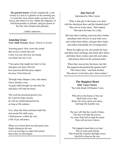**The garden boasts** of God's handiwork. Look closely at a leaf as it glistens in the morning son, or count the ways insects make cocoons on the leaves and stems of a tree. Inhale the fragrance of wild honeysuckle or jasmine, and give praise to the One who created such pleasure.

...Author unknown... \*\*\*\*\*\*\*\*\*\*\*\*\*\*\*\*\*\*\*\*\*\*\*\*\*\*\*\*\*\*\*\*\*\*\*\*\*\*\*\*

**Amazing Grace Text: John Newton**; Music: Edwin O. Excell

Amazing grace! How sweet the sound that saved a wretch like me! I once was lost, but now am found; was blind, but now I see.

'Twas grace that taught my heart to fear, and grace my fears relieved; how precious did that grace appear the hour I first believed.

Through many dangers, toils, and snares, I have already come; 'tis grace hath brought me safe thus far, and grace will lead me home.

The Lord has promised good to me, his word my hope secures; he will my shield and portion be, as long as life endures.

Yea, when this flesh and heart shall fail, and mortal life shall cease, I shall possess, within the veil, a life of joy and peace.

When we've been there ten thousand years, bright shining as the sun, we've no less days to sing God's praise than when we first begun. \*\*\*\*\*\*\*\*\*\*\*\*\*\*\*\*\*\*\*\*\*\*\*\*\*\*\*\*\*\*\*\*\*\*\*\*\*\*\*\*

#### **Just Sort-of**

Submitted by Ollie Caylor

"Who is that girl in the house over there with the checkered dress and the blondish hair?" "She sort-of works there," Bob replied. "She takes the baby for a ride;

She does their washing, and irons their clothes and plants their flowers in neat little rows; and washes their dishes, and gets their meals, and makes marmalade out of orange peels.

When the lights go out, she mends the fuse; and darns their stockings and cleans their shoes, and bakes them cookies and rolls and cakes, and doctors them for the stomach-aches.

When they moved into the house last fall, She papered and painted the upstairs hall." "Oh-I know then," said little brother, "She doesn't work there-she's their mother." \*\*\*\*\*\*\*\*\*\*\*\*\*\*\*\*\*\*\*\*\*\*\*\*\*\*\*\*\*\*\*\*\*\*\*\*\*\*\*\*

> **The Happiest Heart John Vance Cheney** The Little Book Of Modern Verse

Who drives the horses of the sun Shall lord it but a day; Better the lowly deed were done, And kept the humble way.

The rust will find the sword of fame, The dust will hide the crown; Ay, none shall nail so high his name Time will not tear it down.

The happiest heart that ever beat Was in some quiet breast That found the common daylight sweet, And left to Heaven the rest. \*\*\*\*\*\*\*\*\*\*\*\*\*\*\*\*\*\*\*\*\*\*\*\*\*\*\*\*\*\*\*\*\*\*\*\*\*\*\*\*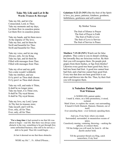#### **Take My Life and Let It Be Words: Frances R. Havergal**

Take my life, and let it be Consecrated, Lord, to Thee; Take my moments and my days, Let them flow in ceaseless praise. Let them flow in ceaseless praise.

Take my hands, and let them move At the impulse of Thy love; Take my feet, and let them be Swift and beautiful for Thee. Swift and beautiful for Thee.

Take my voice, and let me sing Always, only, for my King; Take my lips, and let them be Filled with messages from Thee. Filled with messages from Thee.

Take my silver and my gold: Not a mite would I withhold; Take my intellect, and use Ev'ry pow'r as Thou shalt choose. Ev'ry pow'r as Thou shalt choose.

Take my will, and make it Thine, It shall be no longer mine; Take my heart, it is Thine own, It shall be Thy royal throne. It shall be Thy royal throne.

Take my love, my Lord, I pour At Thy feet its treasure store; Take myself, and I will be, Ever, only, all for Thee. Ever, only, all for Thee. \*\*\*\*\*\*\*\*\*\*\*\*\*\*\*\*\*\*\*\*\*\*\*\*\*\*\*\*\*\*\*\*\*\*\*\*\*\*\*\*

"**For a long time** it had seemed to me that life was about to begin -- real life. But there was always some obstacle in the way, something to be got through first, some unfinished business, time still to be served, a debt to be paid. Then life would begin. ..

At last it dawned on me that these obstacles

WERE my life."... Fr. Alfred D'Souza...

**Galatians 5:22-23 (NIV)** But the fruit of the Spirit is love, joy, peace, patience, kindness, goodness, faithfulness, gentleness and self-control. \*\*\*\*\*\*\*\*\*\*\*\*\*\*\*\*\*\*\*\*\*\*\*\*\*\*\*\*\*\*\*\*\*\*\*\*\*\*\*\*

By Mother Teresa

The fruit of Silence is Prayer The fruit of Prayer is Faith The fruit of Faith is Love The fruit of Love is Service The fruit of Service is Peace. \*\*\*\*\*\*\*\*\*\*\*\*\*\*\*\*\*\*\*\*\*\*\*\*\*\*\*\*\*\*\*\*\*\*\*\*\*\*\*\*

**Matthew 7:15-20 (NIV)** Watch out for false prophets. They come to you in sheep's clothing, but inwardly they are ferocious wolves. By their fruit you will recognize them. Do people pick grapes from thorn bushes, or figs from thistles? Likewise every good tree bears good fruit, but a bad tree bears bad fruit. A good tree cannot bear bad fruit, and a bad tree cannot bear good fruit. Every tree that does not bear good fruit is cut down and thrown into the fire. Thus, by their fruit you will recognize them. \*\*\*\*\*\*\*\*\*\*\*\*\*\*\*\*\*\*\*\*\*\*\*\*\*\*\*\*\*\*\*\*\*\*\*\*\*\*\*\*

#### **A Noiseless Patient Spider Walt Whitman**

A NOISELESS, patient spider, I mark'd, where, on a little promontory, it stood, isolated; Mark'd how, to explore the vacant, vast surrounding, It launch'd forth filament, filament, filament, out of itself; Ever unreeling them—ever tirelessly speeding them.

And you, O my Soul, where you stand, Surrounded, surrounded, in measureless oceans of space, Ceaselessly musing, venturing, throwing,—seeking the spheres, to connect them; Till the bridge you will need, be form'd—till the ductile anchor hold;

Till the gossamer thread you fling, catch somewhere, O my Soul \*\*\*\*\*\*\*\*\*\*\*\*\*\*\*\*\*\*\*\*\*\*\*\*\*\*\*\*\*\*\*\*\*\*\*\*\*\*\*\*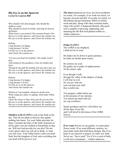#### **His Eye is on the Sparrow Lyrics by Lauryn Hill**

Why should I feel discouraged, why should the shadows come,

Why should my heart be lonely, and long for heaven and home,

When Jesus is my portion? My constant friend is He: His eye is on the sparrow, and I know He watches me; His eye is on the sparrow, and I know He watches me.

Refrain: I sing because I'm happy, I sing because I'm free, For His eye is on the sparrow, And I know He watches me.

"Let not your heart be troubled," His tender word I hear,

And resting on His goodness, I lose my doubts and fears;

Though by the path He leadeth, but one step I may see; His eye is on the sparrow, and I know He watches me; His eye is on the sparrow, and I know He watches me.

Refrain:

I sing because I'm happy, I sing because I'm free, For His eye is on the sparrow, And I know He watches me.

Whenever I am tempted, whenever clouds arise, When songs give place to sighing, when hope within me dies,

I draw the closer to Him, from care He sets me free; His eye is on the sparrow, and I know He watches me; His eye is on the sparrow, and I know He watches me. \*\*\*\*\*\*\*\*\*\*\*\*\*\*\*\*\*\*\*\*\*\*\*\*\*\*\*\*\*\*\*\*\*\*\*\*\*\*\*\*

**Matthew 6:26-33 (NIV)** Look at the birds in the sky. They do not plant or harvest; they gather nothing into barns. Yet your Father provides for them. Consider the lilies of the field. Solomon in all his glory was not clothed as beautifully as they are. Will not God provide for you also? Do not worry about what you will eat or drink, or what you will wear. Your Father knows what you need. Seek first the kingdom of God, and everything else you need will be given to you.

**The more** balanced our lives, the fewer problems we create. For example, if we work too much, we become stressed and dull. If we play too much, we fall behind and get frustrated. When we blend work and play, along with other essential needs, what's the result? A balanced lifestyle, like good soil-is capable of growing, supporting, and maturing the life that God planted within us. ... Author unknown...

\*\*\*\*\*\*\*\*\*\*\*\*\*\*\*\*\*\*\*\*\*\*\*\*\*\*\*\*\*\*\*\*\*\*\*\*\*\*\*\*

#### **Psalm 23 (NIV)**

The LORD is my shepherd, I shall not be in want.

He makes me lie down in green pastures, he leads me beside quiet waters,

He restores my soul. He guides me in paths of righteousness for his name's sake.

Even though I walk through the valley of the shadow of death, I will fear no evil, for you are with me; your rod and your staff, they comfort me.

You prepare a table before me in the presence of my enemies. You anoint my head with oil; my cup overflows.

Surely goodness and love will follow me all the days of my life, and I will dwell in the house of the LORD forever. \*\*\*\*\*\*\*\*\*\*\*\*\*\*\*\*\*\*\*\*\*\*\*\*\*\*\*\*\*\*\*\*\*\*\*\*\*\*\*\*

**If we want** flowers in our garden, we must plant flower seeds. If we want different varieties, we must plant seeds that hold those designs. But if we hope to see answers to prayer, we must sow faith. Never say, "Just a seed." For if it is a seed of faith, it will move mountains. ...Author unknown... \*\*\*\*\*\*\*\*\*\*\*\*\*\*\*\*\*\*\*\*\*\*\*\*\*\*\*\*\*\*\*\*\*\*\*\*\*\*\*\*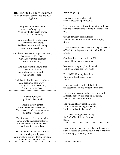#### **THE GRASS. by Emily Dickinson**

Edited by Mabel Loomis Todd and T.W. Higginson

> THE grass so little has to do,-- A sphere of simple green, With only butterflies to brood, And bees to entertain,

And stir all day to pretty tunes The breezes fetch along, And hold the sunshine in its lap And bow to everything;

And thread the dews all night, like pearls, And make itself so fine,-- A duchess were too common For such a noticing.

> And even when it dies, to pass In odors so divine, As lowly spices gone to sleep, Or amulets of pine.

And then to dwell in sovereign barns, And dream the days away,-- The grass so little has to do, I wish I were the hay! \*\*\*\*\*\*\*\*\*\*\*\*\*\*\*\*\*\*\*\*\*\*\*\*\*\*\*\*\*\*\*\*\*\*\*\*\*\*\*\*

#### **Love's Garden**

by Ellen Robena Field

There is a quiet garden, From the rude world set apart, Where seeds for Christ are growing; This is the loving heart.

The tiny roots are loving thoughts; Sweet words, the fragrant flowers Which blossom into loving deeds, Ripe fruits for harvest hours.

Thus in our hearts the seeds of love Are growing year by year; And we show our love for the Saviour, By loving His children here. \*\*\*\*\*\*\*\*\*\*\*\*\*\*\*\*\*\*\*\*\*\*\*\*\*\*\*\*\*\*\*\*\*\*\*\*\*\*\*\*

#### **Psalm 46 (NIV)**

God is our refuge and strength, an ever-present help in trouble.

Therefore we will not fear, though the earth give way and the mountains fall into the heart of the sea,

though its waters roar and foam and the mountains quake with their surging. Selah

There is a river whose streams make glad the city of God, the holy place where the Most High dwells.

God is within her, she will not fall; God will help her at break of day.

Nations are in uproar, kingdoms fall; he lifts his voice, the earth melts.

The LORD Almighty is with us; the God of Jacob is our fortress. Selah

Come and see the works of the LORD, the desolations he has brought on the earth.

He makes wars cease to the ends of the earth; he breaks the bow and shatters the spear, he burns the shields with fire.

"Be still, and know that I am God; I will be exalted among the nations, I will be exalted in the earth."

The LORD Almighty is with us; the God of Jacob is our fortress. Selah \*\*\*\*\*\*\*\*\*\*\*\*\*\*\*\*\*\*\*\*\*\*\*\*\*\*\*\*\*\*\*\*\*\*\*\*\*\*\*\*

Dear Father in Heaven, Bless the children as we plant the seeds of learning your Word. Keep them safe as they grow strong. Amen.

..Author unknown...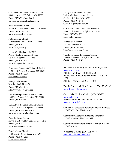Our Lady of the Lakes Catholic Church 6680 153rd Ave NE, Spicer, MN 56288 Phone: (320) 796-5664 Parish www.ourladyofthelakeschurch.com

Peace Lutheran Church Hwy 9 & CR 40 , New London, MN 56273 Phone: (320) 354-2774 www.peacenewlondon.com

Faith Lutheran Church 310 Medayto Drive, Spicer MN 56288 Phone: (320) 796-2522 www.faithspicer.org

Living Word Lutheran (LCMS) Prairie Meadows Learning Center Co. Rd. 10, Spicer, MN 56288 Phone: (320) 796-0742 www.livingwordlutheran.net

Crossroads Community United Methodist 3400 113th Avenue NE, Spicer MN 56288 Phone: (320) 796-2339 crossroadsspicer.com

Evangelical Covenant New London MN 56273 Phone: (320) 354-2446 http://www.nlcovchurch.org

The Harbor Spicer Foursquare Church 5608 90th Avenue NE, Spicer MN 56288 Phone: (320) 796-0427

Our Lady of the Lakes Catholic Church 6680 153rd Ave NE, Spicer, MN 56288 Phone: (320) 796-5664 Parish www.ourladyofthelakeschurch.com

Peace Lutheran Church Hwy 9 & CR 40 , New London, MN 56273 Phone: (320) 354-2774 www.peacenewlondon.com

Faith Lutheran Church 310 Medayto Drive, Spicer MN 56288 Phone: (320) 796-2522 www.faithspicer.org

Living Word Lutheran (LCMS) Prairie Meadows Learning Center Co. Rd. 10, Spicer, MN 56288 Phone: (320) 796-0742 www.livingwordlutheran.net

Crossroads Community United Methodist 3400 113th Avenue NE, Spicer MN 56288 Phone: (320) 796-2339 crossroadsspicer.com

Evangelical Covenant New London MN 56273 Phone: (320) 354-2446 http://www.nlcovchurch.org

The Harbor Spicer Foursquare Church 5608 90th Avenue NE, Spicer MN 56288 Phone: (320) 796-0427

Affiliated Community Medical Center (ACMC) www.acmc.com. ACMC—Willmar (320) 231-5000 ACMC-New London/Spicer clinic (320) 354- 2222 ACMC—Atwater (320) 974-8875

Family Practice Medical Center ( 320) 235-7232 www.fpmc-willmar.com

Green Lake Medical Clinic (320) 796-5555 www.pahcs.com Rice Memorial Hospital (320) 235-4543 www.ricehospital.com

Child and Adolescent Behavioral Health Services 320-231-5337 or 888-883-0266

Community Addiction Recovery Enterprise 320-231-5468 or 888-234-1319

Community Behavioral Health Hospital (CBHH) 320-231-6074

Woodland Centers (320) 235-4613 www.woodlandcenters.com